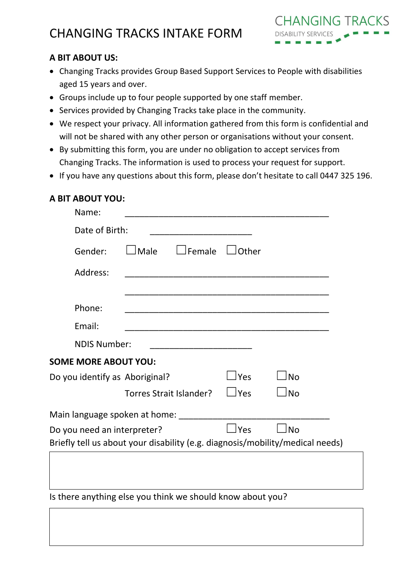# CHANGING TRACKS INTAKE FORM



#### **A BIT ABOUT US:**

- Changing Tracks provides Group Based Support Services to People with disabilities aged 15 years and over.
- Groups include up to four people supported by one staff member.
- Services provided by Changing Tracks take place in the community.
- We respect your privacy. All information gathered from this form is confidential and will not be shared with any other person or organisations without your consent.
- By submitting this form, you are under no obligation to accept services from Changing Tracks. The information is used to process your request for support.
- If you have any questions about this form, please don't hesitate to call 0447 325 196.

# **A BIT ABOUT YOU:**

| Name:                          |                                                                               |                      |           |  |
|--------------------------------|-------------------------------------------------------------------------------|----------------------|-----------|--|
| Date of Birth:                 |                                                                               |                      |           |  |
| Gender:                        | $J$ Male<br><b>JFemale</b>                                                    | Other                |           |  |
| Address:                       | <u> 1980 - Jan Barbara, martin da kasar Amerika Indonesia.</u>                |                      |           |  |
|                                |                                                                               |                      |           |  |
| Phone:                         |                                                                               |                      |           |  |
| Email:                         |                                                                               |                      |           |  |
| <b>NDIS Number:</b>            |                                                                               |                      |           |  |
| <b>SOME MORE ABOUT YOU:</b>    |                                                                               |                      |           |  |
| Do you identify as Aboriginal? |                                                                               | $\overline{\rm Yes}$ | l No      |  |
|                                | Torres Strait Islander?                                                       | $\Box$ Yes           | No        |  |
|                                | Main language spoken at home: ______                                          |                      |           |  |
| Do you need an interpreter?    |                                                                               | $\sqcup$ Yes         | <b>No</b> |  |
|                                | Briefly tell us about your disability (e.g. diagnosis/mobility/medical needs) |                      |           |  |
|                                |                                                                               |                      |           |  |
|                                |                                                                               |                      |           |  |
|                                | Is there anything else you think we should know about you?                    |                      |           |  |